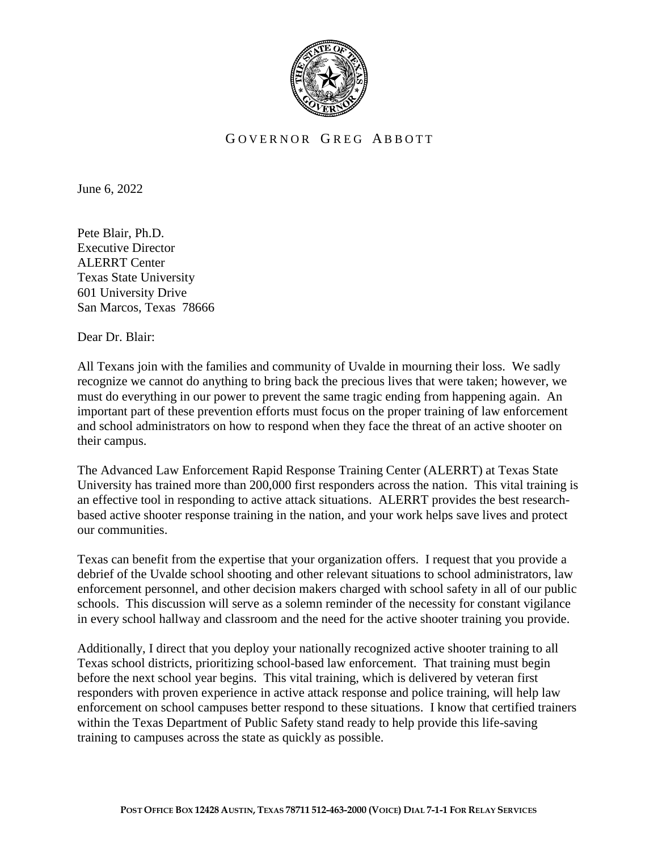

## GOVERNOR GREG ABBOTT

June 6, 2022

Pete Blair, Ph.D. Executive Director ALERRT Center Texas State University 601 University Drive San Marcos, Texas 78666

Dear Dr. Blair:

All Texans join with the families and community of Uvalde in mourning their loss. We sadly recognize we cannot do anything to bring back the precious lives that were taken; however, we must do everything in our power to prevent the same tragic ending from happening again. An important part of these prevention efforts must focus on the proper training of law enforcement and school administrators on how to respond when they face the threat of an active shooter on their campus.

The Advanced Law Enforcement Rapid Response Training Center (ALERRT) at Texas State University has trained more than 200,000 first responders across the nation. This vital training is an effective tool in responding to active attack situations. ALERRT provides the best researchbased active shooter response training in the nation, and your work helps save lives and protect our communities.

Texas can benefit from the expertise that your organization offers. I request that you provide a debrief of the Uvalde school shooting and other relevant situations to school administrators, law enforcement personnel, and other decision makers charged with school safety in all of our public schools. This discussion will serve as a solemn reminder of the necessity for constant vigilance in every school hallway and classroom and the need for the active shooter training you provide.

Additionally, I direct that you deploy your nationally recognized active shooter training to all Texas school districts, prioritizing school-based law enforcement. That training must begin before the next school year begins. This vital training, which is delivered by veteran first responders with proven experience in active attack response and police training, will help law enforcement on school campuses better respond to these situations. I know that certified trainers within the Texas Department of Public Safety stand ready to help provide this life-saving training to campuses across the state as quickly as possible.